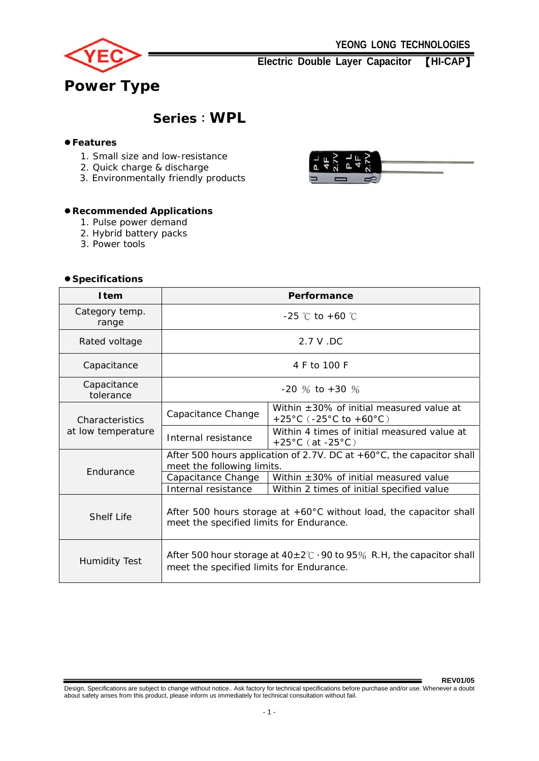

**Electric Double Layer Capacitor** 【**HI-CAP**】

# **Series**:**WPL**

## $•$  **Features**

- 1. Small size and low-resistance
- 2. Quick charge & discharge
- 3. Environmentally friendly products

## z**Recommended Applications**

- 1. Pulse power demand
- 2. Hybrid battery packs
- 3. Power tools

## z **Specifications**



| opoomouuono                           |                                                                                                                            |                                                                                      |  |  |  |
|---------------------------------------|----------------------------------------------------------------------------------------------------------------------------|--------------------------------------------------------------------------------------|--|--|--|
| <b>I</b> tem                          | Performance                                                                                                                |                                                                                      |  |  |  |
| Category temp.<br>range               | $-25$ °C to $+60$ °C                                                                                                       |                                                                                      |  |  |  |
| Rated voltage                         | 2.7 V.DC                                                                                                                   |                                                                                      |  |  |  |
| Capacitance                           | 4 F to 100 F                                                                                                               |                                                                                      |  |  |  |
| Capacitance<br>tolerance              | $-20\%$ to $+30\%$                                                                                                         |                                                                                      |  |  |  |
| Characteristics<br>at low temperature | Capacitance Change                                                                                                         | Within $\pm 30\%$ of initial measured value at<br>+25°C ( $-25$ °C to $+60$ °C)      |  |  |  |
|                                       | Internal resistance                                                                                                        | Within 4 times of initial measured value at<br>$+25^{\circ}$ C (at -25 $^{\circ}$ C) |  |  |  |
|                                       | After 500 hours application of 2.7V. DC at $+60^{\circ}$ C, the capacitor shall<br>meet the following limits.              |                                                                                      |  |  |  |
| Endurance                             | Capacitance Change                                                                                                         | Within $\pm 30\%$ of initial measured value                                          |  |  |  |
|                                       | Internal resistance                                                                                                        | Within 2 times of initial specified value                                            |  |  |  |
| <b>Shelf Life</b>                     | After 500 hours storage at $+60^{\circ}$ C without load, the capacitor shall<br>meet the specified limits for Endurance.   |                                                                                      |  |  |  |
| <b>Humidity Test</b>                  | After 500 hour storage at $40\pm2\degree$ ; 90 to 95% R.H, the capacitor shall<br>meet the specified limits for Endurance. |                                                                                      |  |  |  |

**REV01/05**  Design, Specifications are subject to change without notice.. Ask factory for technical specifications before purchase and/or use. Whenever a doubt about safety arises from this product, please inform us immediately for technical consultation without fail.